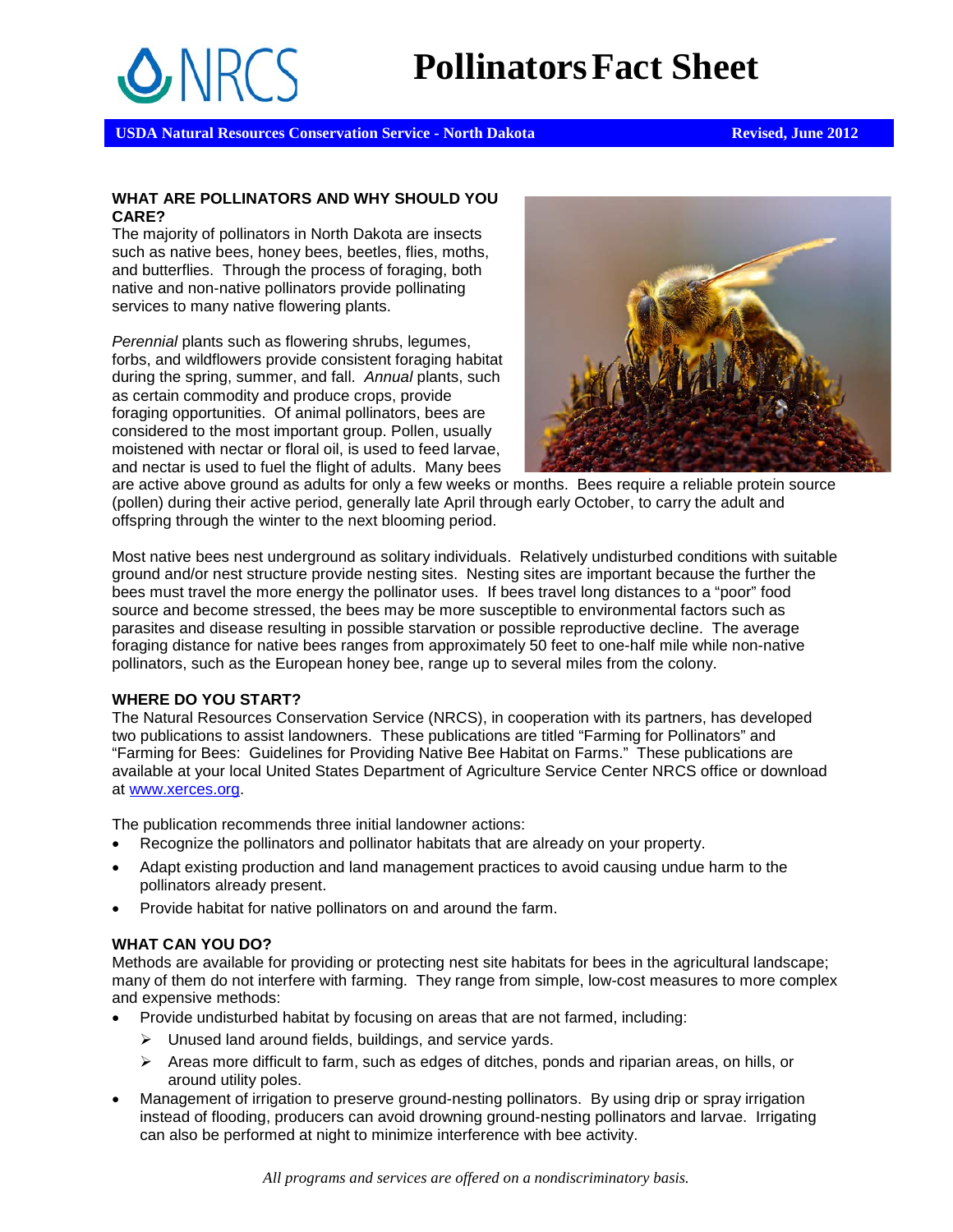# **PollinatorsFact Sheet**

**USDA Natural Resources Conservation Service - North Dakota Revised, June 2012 Revised, June 2012** 

#### **WHAT ARE POLLINATORS AND WHY SHOULD YOU CARE?**

The majority of pollinators in North Dakota are insects such as native bees, honey bees, beetles, flies, moths, and butterflies. Through the process of foraging, both native and non-native pollinators provide pollinating services to many native flowering plants.

*Perennial* plants such as flowering shrubs, legumes, forbs, and wildflowers provide consistent foraging habitat during the spring, summer, and fall. *Annual* plants, such as certain commodity and produce crops, provide foraging opportunities. Of animal pollinators, bees are considered to the most important group. Pollen, usually moistened with nectar or floral oil, is used to feed larvae, and nectar is used to fuel the flight of adults. Many bees



are active above ground as adults for only a few weeks or months. Bees require a reliable protein source (pollen) during their active period, generally late April through early October, to carry the adult and offspring through the winter to the next blooming period.

Most native bees nest underground as solitary individuals. Relatively undisturbed conditions with suitable ground and/or nest structure provide nesting sites. Nesting sites are important because the further the bees must travel the more energy the pollinator uses. If bees travel long distances to a "poor" food source and become stressed, the bees may be more susceptible to environmental factors such as parasites and disease resulting in possible starvation or possible reproductive decline. The average foraging distance for native bees ranges from approximately 50 feet to one-half mile while non-native pollinators, such as the European honey bee, range up to several miles from the colony.

#### **WHERE DO YOU START?**

The Natural Resources Conservation Service (NRCS), in cooperation with its partners, has developed two publications to assist landowners. These publications are titled "Farming for Pollinators" and "Farming for Bees: Guidelines for Providing Native Bee Habitat on Farms." These publications are available at your local United States Department of Agriculture Service Center NRCS office or download at [www.xerces.org.](http://www.xerces.org/)

The publication recommends three initial landowner actions:

- Recognize the pollinators and pollinator habitats that are already on your property.
- Adapt existing production and land management practices to avoid causing undue harm to the pollinators already present.
- Provide habitat for native pollinators on and around the farm.

#### **WHAT CAN YOU DO?**

Methods are available for providing or protecting nest site habitats for bees in the agricultural landscape; many of them do not interfere with farming. They range from simple, low-cost measures to more complex and expensive methods:

- Provide undisturbed habitat by focusing on areas that are not farmed, including:
	- $\triangleright$  Unused land around fields, buildings, and service yards.
	- $\triangleright$  Areas more difficult to farm, such as edges of ditches, ponds and riparian areas, on hills, or around utility poles.
- Management of irrigation to preserve ground-nesting pollinators. By using drip or spray irrigation instead of flooding, producers can avoid drowning ground-nesting pollinators and larvae. Irrigating can also be performed at night to minimize interference with bee activity.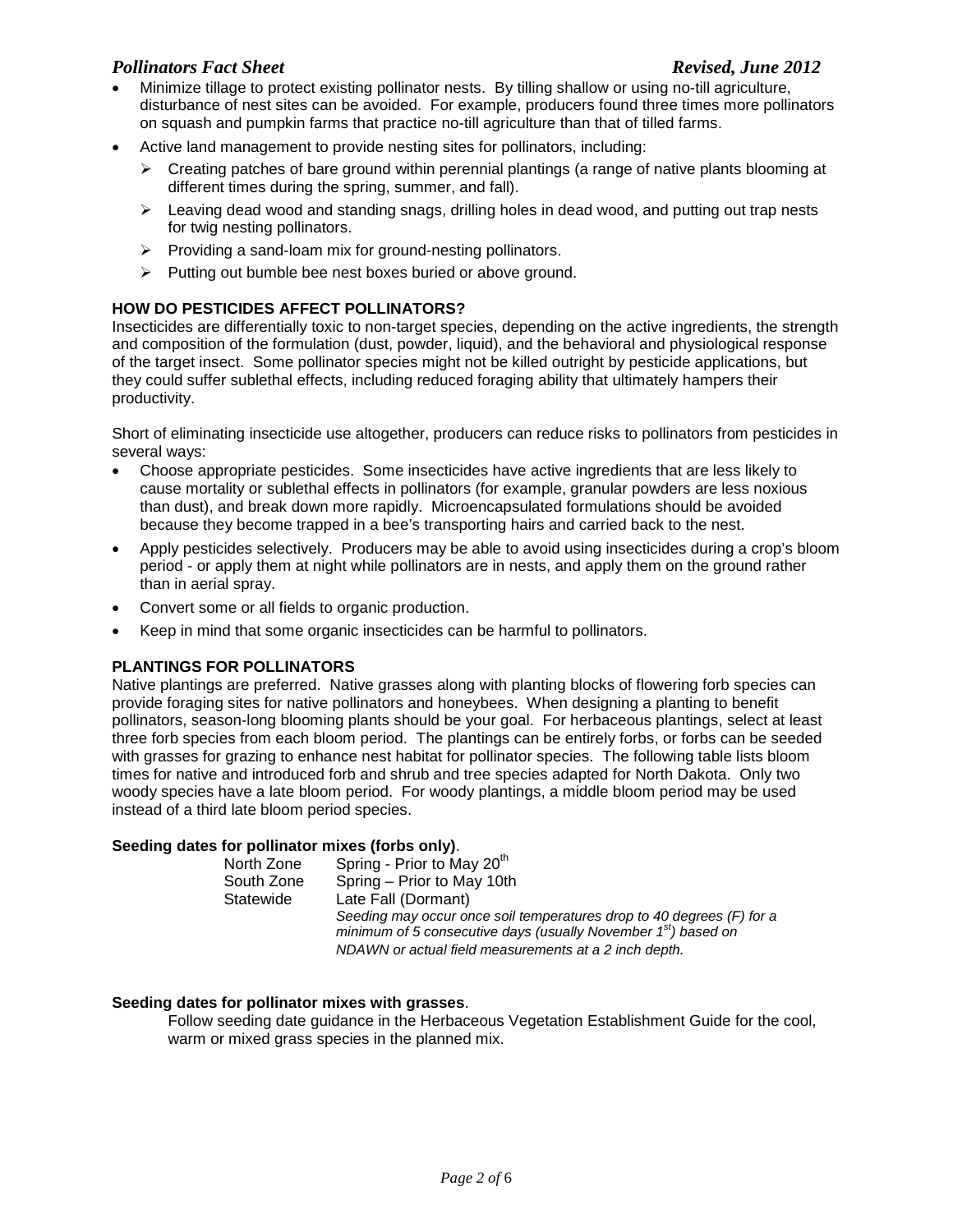#### *Pollinators Fact Sheet Revised, June 2012*

- Minimize tillage to protect existing pollinator nests. By tilling shallow or using no-till agriculture, disturbance of nest sites can be avoided. For example, producers found three times more pollinators on squash and pumpkin farms that practice no-till agriculture than that of tilled farms.
- Active land management to provide nesting sites for pollinators, including:
	- $\triangleright$  Creating patches of bare ground within perennial plantings (a range of native plants blooming at different times during the spring, summer, and fall).
	- $\triangleright$  Leaving dead wood and standing snags, drilling holes in dead wood, and putting out trap nests for twig nesting pollinators.
	- $\triangleright$  Providing a sand-loam mix for ground-nesting pollinators.
	- $\triangleright$  Putting out bumble bee nest boxes buried or above ground.

#### **HOW DO PESTICIDES AFFECT POLLINATORS?**

Insecticides are differentially toxic to non-target species, depending on the active ingredients, the strength and composition of the formulation (dust, powder, liquid), and the behavioral and physiological response of the target insect. Some pollinator species might not be killed outright by pesticide applications, but they could suffer sublethal effects, including reduced foraging ability that ultimately hampers their productivity.

Short of eliminating insecticide use altogether, producers can reduce risks to pollinators from pesticides in several ways:

- Choose appropriate pesticides. Some insecticides have active ingredients that are less likely to cause mortality or sublethal effects in pollinators (for example, granular powders are less noxious than dust), and break down more rapidly. Microencapsulated formulations should be avoided because they become trapped in a bee's transporting hairs and carried back to the nest.
- Apply pesticides selectively. Producers may be able to avoid using insecticides during a crop's bloom period - or apply them at night while pollinators are in nests, and apply them on the ground rather than in aerial spray.
- Convert some or all fields to organic production.
- Keep in mind that some organic insecticides can be harmful to pollinators.

#### **PLANTINGS FOR POLLINATORS**

Native plantings are preferred. Native grasses along with planting blocks of flowering forb species can provide foraging sites for native pollinators and honeybees. When designing a planting to benefit pollinators, season-long blooming plants should be your goal. For herbaceous plantings, select at least three forb species from each bloom period. The plantings can be entirely forbs, or forbs can be seeded with grasses for grazing to enhance nest habitat for pollinator species. The following table lists bloom times for native and introduced forb and shrub and tree species adapted for North Dakota. Only two woody species have a late bloom period. For woody plantings, a middle bloom period may be used instead of a third late bloom period species.

#### **Seeding dates for pollinator mixes (forbs only)**.

| North Zone | Spring - Prior to May $20m$                                                                                                               |
|------------|-------------------------------------------------------------------------------------------------------------------------------------------|
| South Zone | Spring – Prior to May 10th                                                                                                                |
| Statewide  | Late Fall (Dormant)                                                                                                                       |
|            | Seeding may occur once soil temperatures drop to 40 degrees (F) for a<br>minimum of 5 consecutive days (usually November $1st$ ) based on |
|            | NDAWN or actual field measurements at a 2 inch depth.                                                                                     |

#### **Seeding dates for pollinator mixes with grasses**.

Follow seeding date guidance in the Herbaceous Vegetation Establishment Guide for the cool, warm or mixed grass species in the planned mix.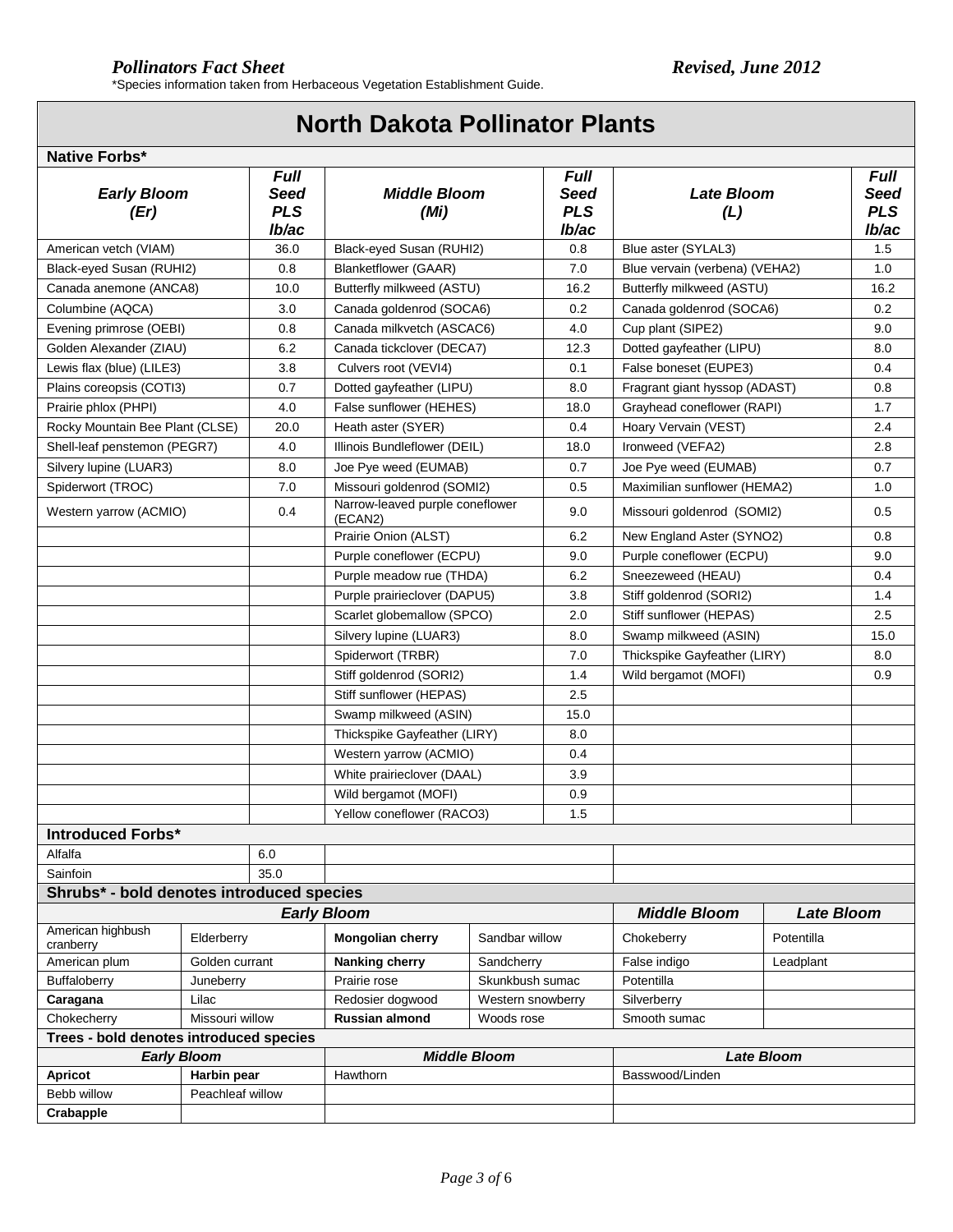## **North Dakota Pollinator Plants**

#### **Native Forbs\***

| <b>Early Bloom</b><br>(Er)                |                                 | <b>Full</b><br>Seed<br><b>PLS</b><br>lb/ac | <b>Middle Bloom</b><br>(Mi)                                                          |                 | <b>Full</b><br>Seed<br><b>PLS</b><br>lb/ac | <b>Late Bloom</b><br>(L)       |                   | <b>Full</b><br><b>Seed</b><br><b>PLS</b><br>lb/ac |
|-------------------------------------------|---------------------------------|--------------------------------------------|--------------------------------------------------------------------------------------|-----------------|--------------------------------------------|--------------------------------|-------------------|---------------------------------------------------|
| American vetch (VIAM)<br>36.0             |                                 |                                            | Black-eyed Susan (RUHI2)                                                             |                 | 0.8                                        | Blue aster (SYLAL3)            |                   | 1.5                                               |
| Black-eyed Susan (RUHI2)                  |                                 | 0.8                                        | <b>Blanketflower (GAAR)</b>                                                          |                 | 7.0                                        | Blue vervain (verbena) (VEHA2) |                   | 1.0                                               |
| Canada anemone (ANCA8)                    |                                 | 10.0                                       | Butterfly milkweed (ASTU)                                                            |                 | 16.2                                       | Butterfly milkweed (ASTU)      |                   | 16.2                                              |
| Columbine (AQCA)                          |                                 | 3.0                                        | Canada goldenrod (SOCA6)                                                             |                 | 0.2                                        | Canada goldenrod (SOCA6)       |                   | 0.2                                               |
| Evening primrose (OEBI)                   |                                 | 0.8                                        | Canada milkvetch (ASCAC6)                                                            |                 | 4.0                                        | Cup plant (SIPE2)              |                   | 9.0                                               |
| Golden Alexander (ZIAU)                   |                                 | 6.2                                        | Canada tickclover (DECA7)                                                            |                 | 12.3                                       | Dotted gayfeather (LIPU)       |                   | 8.0                                               |
| Lewis flax (blue) (LILE3)                 |                                 | 3.8                                        | Culvers root (VEVI4)                                                                 |                 | 0.1                                        | False boneset (EUPE3)          |                   | 0.4                                               |
| Plains coreopsis (COTI3)                  |                                 | 0.7                                        | Dotted gayfeather (LIPU)                                                             |                 | 8.0                                        | Fragrant giant hyssop (ADAST)  |                   | 0.8                                               |
| Prairie phlox (PHPI)                      |                                 | 4.0                                        | False sunflower (HEHES)                                                              |                 | 18.0                                       | Grayhead coneflower (RAPI)     |                   | 1.7                                               |
| Rocky Mountain Bee Plant (CLSE)           |                                 | 20.0                                       | Heath aster (SYER)                                                                   |                 | 0.4                                        | Hoary Vervain (VEST)           |                   | 2.4                                               |
| Shell-leaf penstemon (PEGR7)              |                                 | 4.0                                        | Illinois Bundleflower (DEIL)                                                         |                 | 18.0                                       | Ironweed (VEFA2)               |                   | 2.8                                               |
| Silvery lupine (LUAR3)                    |                                 | 8.0                                        | Joe Pye weed (EUMAB)                                                                 |                 | 0.7                                        | Joe Pye weed (EUMAB)           |                   | 0.7                                               |
| Spiderwort (TROC)                         |                                 | 7.0                                        | Missouri goldenrod (SOMI2)                                                           |                 | 0.5                                        | Maximilian sunflower (HEMA2)   |                   | 1.0                                               |
| Western yarrow (ACMIO)                    |                                 | 0.4                                        | Narrow-leaved purple coneflower<br>(ECAN2)                                           |                 | 9.0                                        | Missouri goldenrod (SOMI2)     |                   | 0.5                                               |
|                                           |                                 |                                            | Prairie Onion (ALST)                                                                 |                 | 6.2                                        | New England Aster (SYNO2)      |                   | 0.8                                               |
|                                           |                                 |                                            | Purple coneflower (ECPU)                                                             |                 | 9.0                                        | Purple coneflower (ECPU)       |                   | 9.0                                               |
|                                           |                                 |                                            | Purple meadow rue (THDA)                                                             |                 | 6.2                                        | Sneezeweed (HEAU)              |                   | 0.4                                               |
|                                           |                                 |                                            | Purple prairieclover (DAPU5)                                                         |                 | 3.8                                        | Stiff goldenrod (SORI2)        |                   | 1.4                                               |
|                                           |                                 |                                            | Scarlet globemallow (SPCO)                                                           |                 | 2.0                                        | Stiff sunflower (HEPAS)        |                   | 2.5                                               |
|                                           |                                 |                                            | Silvery lupine (LUAR3)                                                               |                 | 8.0                                        | Swamp milkweed (ASIN)          |                   | 15.0                                              |
|                                           |                                 |                                            | Spiderwort (TRBR)                                                                    |                 | 7.0                                        | Thickspike Gayfeather (LIRY)   |                   | 8.0                                               |
|                                           |                                 |                                            | Stiff goldenrod (SORI2)                                                              |                 | 1.4                                        | Wild bergamot (MOFI)           |                   | 0.9                                               |
|                                           |                                 |                                            | Stiff sunflower (HEPAS)                                                              |                 | 2.5                                        |                                |                   |                                                   |
|                                           |                                 |                                            | Swamp milkweed (ASIN)                                                                |                 | 15.0                                       |                                |                   |                                                   |
|                                           |                                 |                                            | Thickspike Gayfeather (LIRY)<br>Western yarrow (ACMIO)<br>White prairieclover (DAAL) |                 | 8.0                                        |                                |                   |                                                   |
|                                           |                                 |                                            |                                                                                      |                 | 0.4                                        |                                |                   |                                                   |
|                                           |                                 |                                            |                                                                                      |                 | 3.9                                        |                                |                   |                                                   |
|                                           |                                 |                                            | Wild bergamot (MOFI)                                                                 |                 | 0.9                                        |                                |                   |                                                   |
|                                           |                                 |                                            | Yellow coneflower (RACO3)                                                            |                 | 1.5                                        |                                |                   |                                                   |
| <b>Introduced Forbs*</b>                  |                                 |                                            |                                                                                      |                 |                                            |                                |                   |                                                   |
| Alfalfa                                   |                                 | 6.0                                        |                                                                                      |                 |                                            |                                |                   |                                                   |
| Sainfoin                                  |                                 | 35.0                                       |                                                                                      |                 |                                            |                                |                   |                                                   |
| Shrubs* - bold denotes introduced species |                                 |                                            |                                                                                      |                 |                                            |                                |                   |                                                   |
|                                           |                                 |                                            | <b>Early Bloom</b>                                                                   |                 |                                            | <b>Middle Bloom</b>            | <b>Late Bloom</b> |                                                   |
| American highbush<br>cranberry            | Elderberry                      |                                            | Mongolian cherry<br>Sandbar willow                                                   |                 |                                            | Chokeberry                     | Potentilla        |                                                   |
| American plum                             | Golden currant                  |                                            | Nanking cherry                                                                       | Sandcherry      |                                            | False indigo                   | Leadplant         |                                                   |
| Buffaloberry                              | Juneberry                       |                                            | Prairie rose                                                                         | Skunkbush sumac |                                            | Potentilla                     |                   |                                                   |
| Lilac<br>Caragana                         |                                 | Redosier dogwood<br>Western snowberry      |                                                                                      |                 | Silverberry                                |                                |                   |                                                   |
| Missouri willow<br>Chokecherry            |                                 |                                            | Russian almond<br>Woods rose                                                         |                 |                                            | Smooth sumac                   |                   |                                                   |
| Trees - bold denotes introduced species   |                                 |                                            |                                                                                      |                 |                                            |                                |                   |                                                   |
|                                           | <b>Early Bloom</b>              |                                            | <b>Middle Bloom</b>                                                                  |                 |                                            | <b>Late Bloom</b>              |                   |                                                   |
| <b>Apricot</b><br>Bebb willow             | Harbin pear<br>Peachleaf willow |                                            | Hawthorn                                                                             |                 |                                            | Basswood/Linden                |                   |                                                   |
|                                           |                                 |                                            |                                                                                      |                 |                                            |                                |                   |                                                   |
| Crabapple                                 |                                 |                                            |                                                                                      |                 |                                            |                                |                   |                                                   |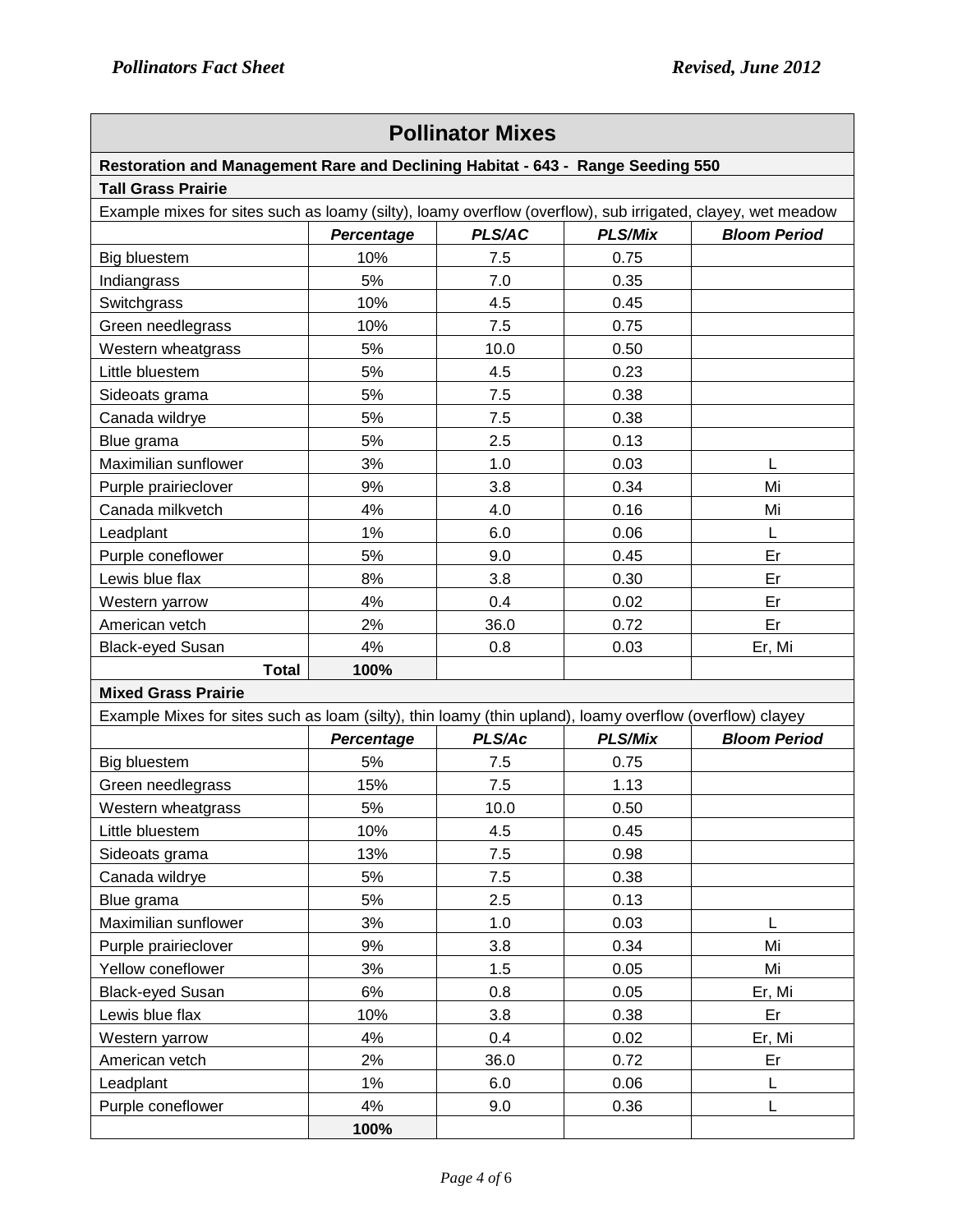÷.

| <b>Pollinator Mixes</b>                                                                                     |                   |        |                |                     |  |  |
|-------------------------------------------------------------------------------------------------------------|-------------------|--------|----------------|---------------------|--|--|
| Restoration and Management Rare and Declining Habitat - 643 - Range Seeding 550                             |                   |        |                |                     |  |  |
| <b>Tall Grass Prairie</b>                                                                                   |                   |        |                |                     |  |  |
| Example mixes for sites such as loamy (silty), loamy overflow (overflow), sub irrigated, clayey, wet meadow |                   |        |                |                     |  |  |
|                                                                                                             | Percentage        | PLS/AC | <b>PLS/Mix</b> | <b>Bloom Period</b> |  |  |
| <b>Big bluestem</b>                                                                                         | 10%               | 7.5    | 0.75           |                     |  |  |
| Indiangrass                                                                                                 | 5%                | 7.0    | 0.35           |                     |  |  |
| Switchgrass                                                                                                 | 10%               | 4.5    | 0.45           |                     |  |  |
| Green needlegrass                                                                                           | 10%               | 7.5    | 0.75           |                     |  |  |
| Western wheatgrass                                                                                          | 5%                | 10.0   | 0.50           |                     |  |  |
| Little bluestem                                                                                             | 5%                | 4.5    | 0.23           |                     |  |  |
| Sideoats grama                                                                                              | 5%                | 7.5    | 0.38           |                     |  |  |
| Canada wildrye                                                                                              | 5%                | 7.5    | 0.38           |                     |  |  |
| Blue grama                                                                                                  | 5%                | 2.5    | 0.13           |                     |  |  |
| Maximilian sunflower                                                                                        | 3%                | 1.0    | 0.03           | L                   |  |  |
| Purple prairieclover                                                                                        | 9%                | 3.8    | 0.34           | Mi                  |  |  |
| Canada milkvetch                                                                                            | 4%                | 4.0    | 0.16           | Mi                  |  |  |
| Leadplant                                                                                                   | 1%                | 6.0    | 0.06           | L                   |  |  |
| Purple coneflower                                                                                           | 5%                | 9.0    | 0.45           | Er                  |  |  |
| Lewis blue flax                                                                                             | 8%                | 3.8    | 0.30           | Er                  |  |  |
| Western yarrow                                                                                              | 4%                | 0.4    | 0.02           | Er                  |  |  |
| American vetch                                                                                              | 2%                | 36.0   | 0.72           | Er                  |  |  |
| <b>Black-eyed Susan</b>                                                                                     | 4%                | 0.8    | 0.03           | Er, Mi              |  |  |
| <b>Total</b>                                                                                                | 100%              |        |                |                     |  |  |
| <b>Mixed Grass Prairie</b>                                                                                  |                   |        |                |                     |  |  |
| Example Mixes for sites such as loam (silty), thin loamy (thin upland), loamy overflow (overflow) clayey    |                   |        |                |                     |  |  |
|                                                                                                             | <b>Percentage</b> | PLS/Ac | <b>PLS/Mix</b> | <b>Bloom Period</b> |  |  |
| <b>Big bluestem</b>                                                                                         | 5%                | 7.5    | 0.75           |                     |  |  |
| Green needlegrass                                                                                           | 15%               | 7.5    | 1.13           |                     |  |  |
| Western wheatgrass                                                                                          | 5%                | 10.0   | 0.50           |                     |  |  |
| Little bluestem                                                                                             | 10%               | 4.5    | 0.45           |                     |  |  |
| Sideoats grama                                                                                              | 13%               | 7.5    | 0.98           |                     |  |  |
| Canada wildrye                                                                                              | 5%                | 7.5    | 0.38           |                     |  |  |
| Blue grama                                                                                                  | 5%                | 2.5    | 0.13           |                     |  |  |
| Maximilian sunflower                                                                                        | 3%                | 1.0    | 0.03           | L                   |  |  |
| Purple prairieclover                                                                                        | 9%                | 3.8    | 0.34           | Mi                  |  |  |
| Yellow coneflower                                                                                           | 3%                | 1.5    | 0.05           | Mi                  |  |  |
| <b>Black-eyed Susan</b>                                                                                     | 6%                | 0.8    | 0.05           | Er, Mi              |  |  |
| Lewis blue flax                                                                                             | 10%               | 3.8    | 0.38           | Er                  |  |  |
| Western yarrow                                                                                              | 4%                | 0.4    | 0.02           | Er, Mi              |  |  |
| American vetch                                                                                              | 2%                | 36.0   | 0.72           | Er                  |  |  |
| Leadplant                                                                                                   | 1%                | 6.0    | 0.06           | L                   |  |  |
| Purple coneflower                                                                                           | 4%                | 9.0    | 0.36           | L                   |  |  |
|                                                                                                             | 100%              |        |                |                     |  |  |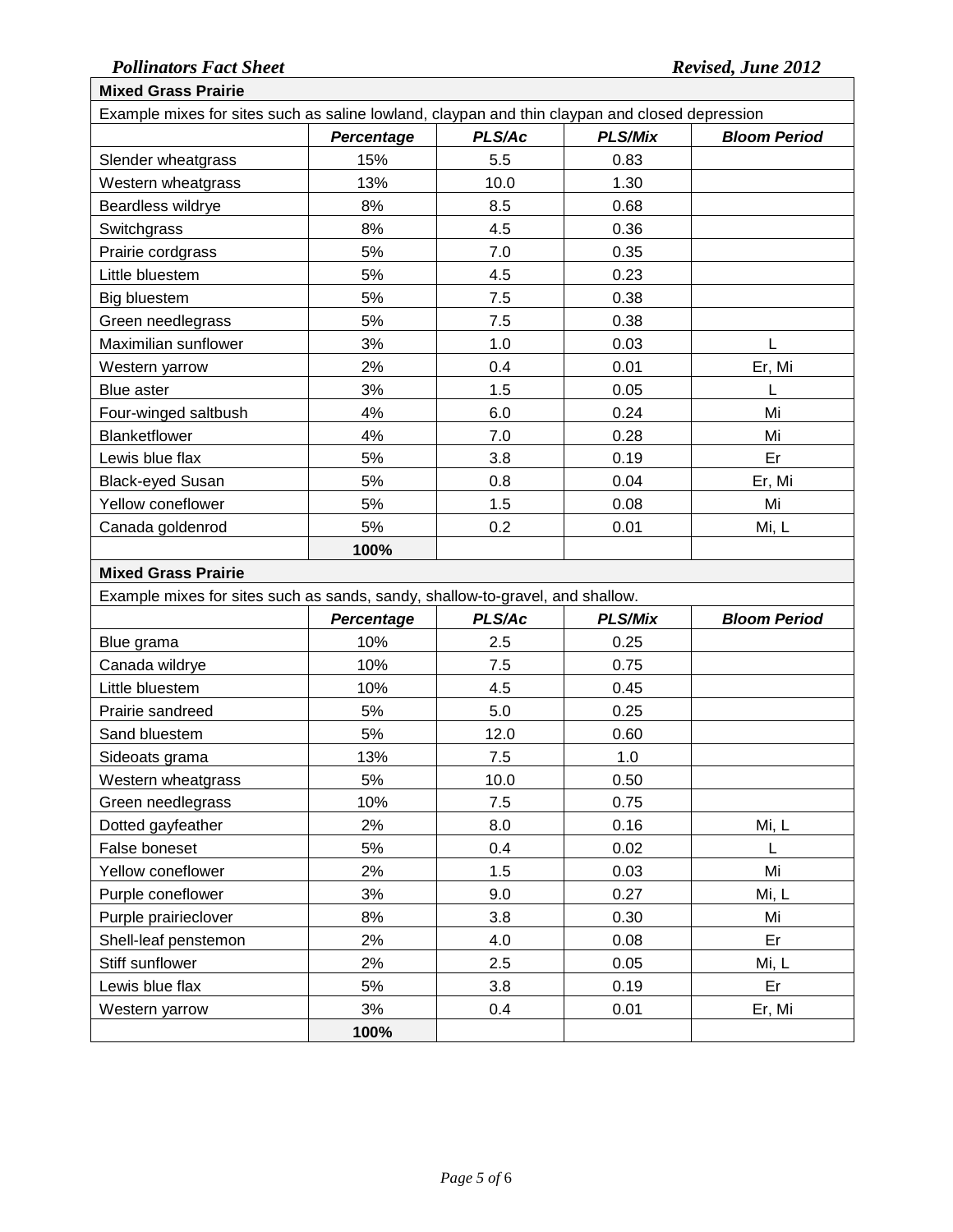### *Pollinators Fact Sheet Revised, June 2012* **Mixed Grass Prairie**

|                                        |                                                                               |            | Example mixes for sites such as saline lowland, claypan and thin claypan and closed depression |                     |  |  |  |
|----------------------------------------|-------------------------------------------------------------------------------|------------|------------------------------------------------------------------------------------------------|---------------------|--|--|--|
|                                        | Percentage                                                                    | PLS/Ac     | <b>PLS/Mix</b>                                                                                 | <b>Bloom Period</b> |  |  |  |
| Slender wheatgrass                     | 15%                                                                           | 5.5        | 0.83                                                                                           |                     |  |  |  |
| Western wheatgrass                     | 13%                                                                           | 10.0       | 1.30                                                                                           |                     |  |  |  |
| Beardless wildrye                      | 8%                                                                            | 8.5        | 0.68                                                                                           |                     |  |  |  |
| Switchgrass                            | 8%                                                                            | 4.5        | 0.36                                                                                           |                     |  |  |  |
| Prairie cordgrass                      | 5%                                                                            | 7.0        | 0.35                                                                                           |                     |  |  |  |
| Little bluestem                        | 5%                                                                            | 4.5        | 0.23                                                                                           |                     |  |  |  |
| Big bluestem                           | 5%                                                                            | 7.5        | 0.38                                                                                           |                     |  |  |  |
| Green needlegrass                      | 5%                                                                            | 7.5        | 0.38                                                                                           |                     |  |  |  |
| Maximilian sunflower                   | 3%                                                                            | 1.0        | 0.03                                                                                           |                     |  |  |  |
| Western yarrow                         | 2%                                                                            | 0.4        | 0.01                                                                                           | Er, Mi              |  |  |  |
| Blue aster                             | 3%                                                                            | 1.5        | 0.05                                                                                           | L                   |  |  |  |
| Four-winged saltbush                   | 4%                                                                            | 6.0        | 0.24                                                                                           | Mi                  |  |  |  |
| Blanketflower                          | 4%                                                                            | 7.0        | 0.28                                                                                           | Mi                  |  |  |  |
| Lewis blue flax                        | 5%                                                                            | 3.8        | 0.19                                                                                           | Er                  |  |  |  |
| <b>Black-eyed Susan</b>                | 5%                                                                            | 0.8        | 0.04                                                                                           | Er, Mi              |  |  |  |
| Yellow coneflower                      | 5%                                                                            | 1.5        | 0.08                                                                                           | Mi                  |  |  |  |
| Canada goldenrod                       | 5%                                                                            | 0.2        | 0.01                                                                                           | Mi, L               |  |  |  |
|                                        | 100%                                                                          |            |                                                                                                |                     |  |  |  |
| <b>Mixed Grass Prairie</b>             |                                                                               |            |                                                                                                |                     |  |  |  |
|                                        | Example mixes for sites such as sands, sandy, shallow-to-gravel, and shallow. |            |                                                                                                |                     |  |  |  |
|                                        |                                                                               |            |                                                                                                |                     |  |  |  |
|                                        | <b>Percentage</b>                                                             | PLS/Ac     | <b>PLS/Mix</b>                                                                                 | <b>Bloom Period</b> |  |  |  |
| Blue grama                             | 10%                                                                           | 2.5        | 0.25                                                                                           |                     |  |  |  |
| Canada wildrye                         | 10%                                                                           | 7.5        | 0.75                                                                                           |                     |  |  |  |
| Little bluestem                        | 10%                                                                           | 4.5        | 0.45                                                                                           |                     |  |  |  |
| Prairie sandreed                       | 5%                                                                            | 5.0        | 0.25                                                                                           |                     |  |  |  |
| Sand bluestem                          | 5%                                                                            | 12.0       | 0.60                                                                                           |                     |  |  |  |
|                                        | 13%                                                                           | 7.5        | 1.0                                                                                            |                     |  |  |  |
| Sideoats grama                         | 5%                                                                            | 10.0       | 0.50                                                                                           |                     |  |  |  |
| Western wheatgrass                     | 10%                                                                           | 7.5        | 0.75                                                                                           |                     |  |  |  |
| Green needlegrass<br>Dotted gayfeather | 2%                                                                            | 8.0        | 0.16                                                                                           |                     |  |  |  |
|                                        |                                                                               |            |                                                                                                | Mi, L<br>L          |  |  |  |
| False boneset                          | 5%<br>2%                                                                      | 0.4        | 0.02                                                                                           | Mi                  |  |  |  |
| Yellow coneflower                      |                                                                               | 1.5        | 0.03                                                                                           |                     |  |  |  |
| Purple coneflower                      | 3%                                                                            | 9.0        | 0.27                                                                                           | Mi, L               |  |  |  |
| Purple prairieclover                   | 8%                                                                            | 3.8        | 0.30                                                                                           | Mi                  |  |  |  |
| Shell-leaf penstemon                   | 2%                                                                            | 4.0        | 0.08                                                                                           | Er                  |  |  |  |
| Stiff sunflower                        | 2%                                                                            | 2.5        | 0.05                                                                                           | Mi, L               |  |  |  |
| Lewis blue flax<br>Western yarrow      | 5%<br>3%                                                                      | 3.8<br>0.4 | 0.19<br>0.01                                                                                   | Er<br>Er, Mi        |  |  |  |